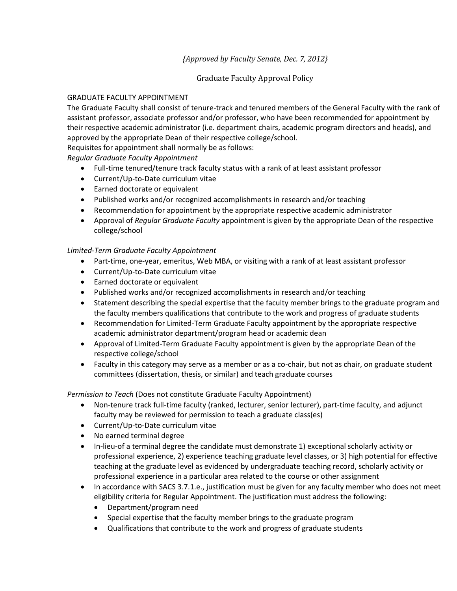# *{Approved by Faculty Senate, Dec. 7, 2012}*

## Graduate Faculty Approval Policy

#### GRADUATE FACULTY APPOINTMENT

The Graduate Faculty shall consist of tenure-track and tenured members of the General Faculty with the rank of assistant professor, associate professor and/or professor, who have been recommended for appointment by their respective academic administrator (i.e. department chairs, academic program directors and heads), and approved by the appropriate Dean of their respective college/school.

Requisites for appointment shall normally be as follows:

*Regular Graduate Faculty Appointment* 

- Full-time tenured/tenure track faculty status with a rank of at least assistant professor
- Current/Up-to-Date curriculum vitae
- Earned doctorate or equivalent
- Published works and/or recognized accomplishments in research and/or teaching
- Recommendation for appointment by the appropriate respective academic administrator
- Approval of *Regular Graduate Faculty* appointment is given by the appropriate Dean of the respective college/school

## *Limited-Term Graduate Faculty Appointment*

- Part-time, one-year, emeritus, Web MBA, or visiting with a rank of at least assistant professor
- Current/Up-to-Date curriculum vitae
- Earned doctorate or equivalent
- Published works and/or recognized accomplishments in research and/or teaching
- Statement describing the special expertise that the faculty member brings to the graduate program and the faculty members qualifications that contribute to the work and progress of graduate students
- Recommendation for Limited-Term Graduate Faculty appointment by the appropriate respective academic administrator department/program head or academic dean
- Approval of Limited-Term Graduate Faculty appointment is given by the appropriate Dean of the respective college/school
- Faculty in this category may serve as a member or as a co-chair, but not as chair, on graduate student committees (dissertation, thesis, or similar) and teach graduate courses

*Permission to Teach* (Does not constitute Graduate Faculty Appointment)

- Non-tenure track full-time faculty (ranked, lecturer, senior lecturer), part-time faculty, and adjunct faculty may be reviewed for permission to teach a graduate class(es)
- Current/Up-to-Date curriculum vitae
- No earned terminal degree
- In-lieu-of a terminal degree the candidate must demonstrate 1) exceptional scholarly activity or professional experience, 2) experience teaching graduate level classes, or 3) high potential for effective teaching at the graduate level as evidenced by undergraduate teaching record, scholarly activity or professional experience in a particular area related to the course or other assignment
- In accordance with SACS 3.7.1.e., justification must be given for any faculty member who does not meet eligibility criteria for Regular Appointment. The justification must address the following:
	- Department/program need
	- Special expertise that the faculty member brings to the graduate program
	- Qualifications that contribute to the work and progress of graduate students